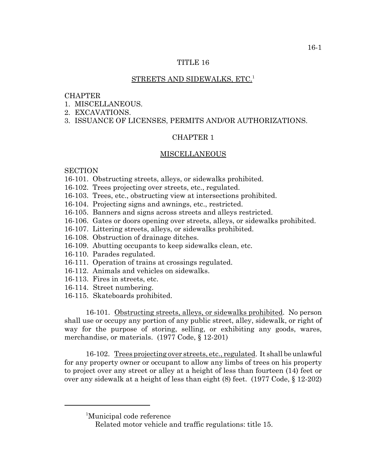## TITLE 16

#### STREETS AND SIDEWALKS, ETC.<sup>1</sup>

#### **CHAPTER**

- 1 MISCELLANEOUS
- 2. EXCAVATIONS.
- 3. ISSUANCE OF LICENSES, PERMITS AND/OR AUTHORIZATIONS.

# CHAPTER 1

#### MISCELLANEOUS

### **SECTION**

- 16-101. Obstructing streets, alleys, or sidewalks prohibited.
- 16-102. Trees projecting over streets, etc., regulated.
- 16-103. Trees, etc., obstructing view at intersections prohibited.
- 16-104. Projecting signs and awnings, etc., restricted.
- 16-105. Banners and signs across streets and alleys restricted.
- 16-106. Gates or doors opening over streets, alleys, or sidewalks prohibited.
- 16-107. Littering streets, alleys, or sidewalks prohibited.
- 16-108. Obstruction of drainage ditches.
- 16-109. Abutting occupants to keep sidewalks clean, etc.
- 16-110. Parades regulated.
- 16-111. Operation of trains at crossings regulated.
- 16-112. Animals and vehicles on sidewalks.
- 16-113. Fires in streets, etc.
- 16-114. Street numbering.
- 16-115. Skateboards prohibited.

16-101. Obstructing streets, alleys, or sidewalks prohibited. No person shall use or occupy any portion of any public street, alley, sidewalk, or right of way for the purpose of storing, selling, or exhibiting any goods, wares, merchandise, or materials. (1977 Code, § 12-201)

16-102. Trees projecting over streets, etc., regulated. It shall be unlawful for any property owner or occupant to allow any limbs of trees on his property to project over any street or alley at a height of less than fourteen (14) feet or over any sidewalk at a height of less than eight (8) feet. (1977 Code, § 12-202)

<sup>1</sup> Municipal code reference

Related motor vehicle and traffic regulations: title 15.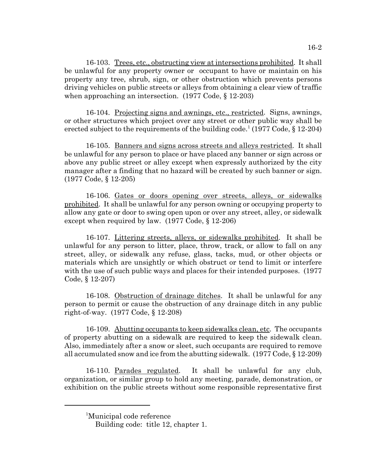16-103. Trees, etc., obstructing view at intersections prohibited. It shall be unlawful for any property owner or occupant to have or maintain on his property any tree, shrub, sign, or other obstruction which prevents persons driving vehicles on public streets or alleys from obtaining a clear view of traffic when approaching an intersection. (1977 Code, § 12-203)

16-104. Projecting signs and awnings, etc., restricted. Signs, awnings, or other structures which project over any street or other public way shall be erected subject to the requirements of the building code.<sup>1</sup> (1977 Code,  $\S$  12-204)

16-105. Banners and signs across streets and alleys restricted. It shall be unlawful for any person to place or have placed any banner or sign across or above any public street or alley except when expressly authorized by the city manager after a finding that no hazard will be created by such banner or sign. (1977 Code, § 12-205)

16-106. Gates or doors opening over streets, alleys, or sidewalks prohibited. It shall be unlawful for any person owning or occupying property to allow any gate or door to swing open upon or over any street, alley, or sidewalk except when required by law. (1977 Code, § 12-206)

16-107. Littering streets, alleys, or sidewalks prohibited. It shall be unlawful for any person to litter, place, throw, track, or allow to fall on any street, alley, or sidewalk any refuse, glass, tacks, mud, or other objects or materials which are unsightly or which obstruct or tend to limit or interfere with the use of such public ways and places for their intended purposes. (1977 Code, § 12-207)

16-108. Obstruction of drainage ditches. It shall be unlawful for any person to permit or cause the obstruction of any drainage ditch in any public right-of-way. (1977 Code, § 12-208)

16-109. Abutting occupants to keep sidewalks clean, etc. The occupants of property abutting on a sidewalk are required to keep the sidewalk clean. Also, immediately after a snow or sleet, such occupants are required to remove all accumulated snow and ice from the abutting sidewalk. (1977 Code, § 12-209)

16-110. Parades regulated. It shall be unlawful for any club, organization, or similar group to hold any meeting, parade, demonstration, or exhibition on the public streets without some responsible representative first

<sup>1</sup> Municipal code reference

Building code: title 12, chapter 1.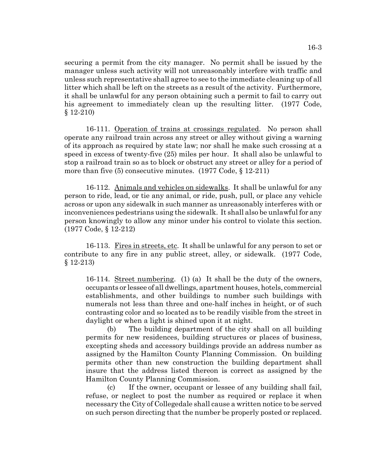securing a permit from the city manager. No permit shall be issued by the manager unless such activity will not unreasonably interfere with traffic and unless such representative shall agree to see to the immediate cleaning up of all litter which shall be left on the streets as a result of the activity. Furthermore, it shall be unlawful for any person obtaining such a permit to fail to carry out his agreement to immediately clean up the resulting litter. (1977 Code, § 12-210)

16-111. Operation of trains at crossings regulated. No person shall operate any railroad train across any street or alley without giving a warning of its approach as required by state law; nor shall he make such crossing at a speed in excess of twenty-five (25) miles per hour. It shall also be unlawful to stop a railroad train so as to block or obstruct any street or alley for a period of more than five (5) consecutive minutes. (1977 Code, § 12-211)

16-112. Animals and vehicles on sidewalks. It shall be unlawful for any person to ride, lead, or tie any animal, or ride, push, pull, or place any vehicle across or upon any sidewalk in such manner as unreasonably interferes with or inconveniences pedestrians using the sidewalk. It shall also be unlawful for any person knowingly to allow any minor under his control to violate this section. (1977 Code, § 12-212)

16-113. Fires in streets, etc. It shall be unlawful for any person to set or contribute to any fire in any public street, alley, or sidewalk. (1977 Code, § 12-213)

16-114. Street numbering. (1) (a) It shall be the duty of the owners, occupants or lessee of all dwellings, apartment houses, hotels, commercial establishments, and other buildings to number such buildings with numerals not less than three and one-half inches in height, or of such contrasting color and so located as to be readily visible from the street in daylight or when a light is shined upon it at night.

(b) The building department of the city shall on all building permits for new residences, building structures or places of business, excepting sheds and accessory buildings provide an address number as assigned by the Hamilton County Planning Commission. On building permits other than new construction the building department shall insure that the address listed thereon is correct as assigned by the Hamilton County Planning Commission.

(c) If the owner, occupant or lessee of any building shall fail, refuse, or neglect to post the number as required or replace it when necessary the City of Collegedale shall cause a written notice to be served on such person directing that the number be properly posted or replaced.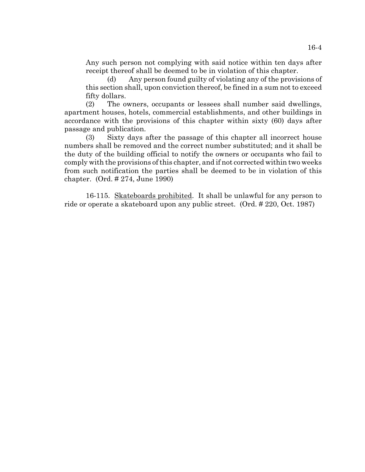Any such person not complying with said notice within ten days after receipt thereof shall be deemed to be in violation of this chapter.

(d) Any person found guilty of violating any of the provisions of this section shall, upon conviction thereof, be fined in a sum not to exceed fifty dollars.

(2) The owners, occupants or lessees shall number said dwellings, apartment houses, hotels, commercial establishments, and other buildings in accordance with the provisions of this chapter within sixty (60) days after passage and publication.

(3) Sixty days after the passage of this chapter all incorrect house numbers shall be removed and the correct number substituted; and it shall be the duty of the building official to notify the owners or occupants who fail to comply with the provisions of this chapter, and if not corrected within two weeks from such notification the parties shall be deemed to be in violation of this chapter. (Ord. # 274, June 1990)

16-115. Skateboards prohibited. It shall be unlawful for any person to ride or operate a skateboard upon any public street. (Ord. # 220, Oct. 1987)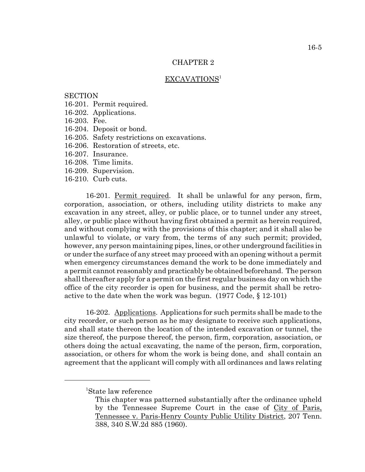## CHAPTER 2

#### EXCAVATIONS<sup>1</sup>

# **SECTION**

- 16-201. Permit required.
- 16-202. Applications.
- 16-203. Fee.
- 16-204. Deposit or bond.
- 16-205. Safety restrictions on excavations.
- 16-206. Restoration of streets, etc.
- 16-207. Insurance.
- 16-208. Time limits.
- 16-209. Supervision.
- 16-210. Curb cuts.

16-201. Permit required. It shall be unlawful for any person, firm, corporation, association, or others, including utility districts to make any excavation in any street, alley, or public place, or to tunnel under any street, alley, or public place without having first obtained a permit as herein required, and without complying with the provisions of this chapter; and it shall also be unlawful to violate, or vary from, the terms of any such permit; provided, however, any person maintaining pipes, lines, or other underground facilities in or under the surface of any street may proceed with an opening without a permit when emergency circumstances demand the work to be done immediately and a permit cannot reasonably and practicably be obtained beforehand. The person shall thereafter apply for a permit on the first regular business day on which the office of the city recorder is open for business, and the permit shall be retroactive to the date when the work was begun. (1977 Code, § 12-101)

16-202. Applications. Applications for such permits shall be made to the city recorder, or such person as he may designate to receive such applications, and shall state thereon the location of the intended excavation or tunnel, the size thereof, the purpose thereof, the person, firm, corporation, association, or others doing the actual excavating, the name of the person, firm, corporation, association, or others for whom the work is being done, and shall contain an agreement that the applicant will comply with all ordinances and laws relating

<sup>1</sup> State law reference

This chapter was patterned substantially after the ordinance upheld by the Tennessee Supreme Court in the case of City of Paris, Tennessee v. Paris-Henry County Public Utility District, 207 Tenn. 388, 340 S.W.2d 885 (1960).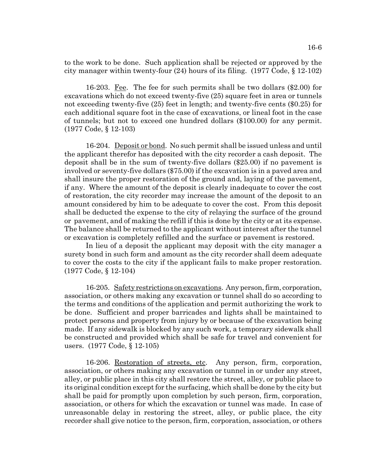16-6

to the work to be done. Such application shall be rejected or approved by the city manager within twenty-four (24) hours of its filing. (1977 Code, § 12-102)

16-203. Fee. The fee for such permits shall be two dollars (\$2.00) for excavations which do not exceed twenty-five (25) square feet in area or tunnels not exceeding twenty-five (25) feet in length; and twenty-five cents (\$0.25) for each additional square foot in the case of excavations, or lineal foot in the case of tunnels; but not to exceed one hundred dollars (\$100.00) for any permit. (1977 Code, § 12-103)

16-204. Deposit or bond. No such permit shall be issued unless and until the applicant therefor has deposited with the city recorder a cash deposit. The deposit shall be in the sum of twenty-five dollars (\$25.00) if no pavement is involved or seventy-five dollars (\$75.00) if the excavation is in a paved area and shall insure the proper restoration of the ground and, laying of the pavement, if any. Where the amount of the deposit is clearly inadequate to cover the cost of restoration, the city recorder may increase the amount of the deposit to an amount considered by him to be adequate to cover the cost. From this deposit shall be deducted the expense to the city of relaying the surface of the ground or pavement, and of making the refill if this is done by the city or at its expense. The balance shall be returned to the applicant without interest after the tunnel or excavation is completely refilled and the surface or pavement is restored.

In lieu of a deposit the applicant may deposit with the city manager a surety bond in such form and amount as the city recorder shall deem adequate to cover the costs to the city if the applicant fails to make proper restoration. (1977 Code, § 12-104)

16-205. Safety restrictions on excavations. Any person, firm, corporation, association, or others making any excavation or tunnel shall do so according to the terms and conditions of the application and permit authorizing the work to be done. Sufficient and proper barricades and lights shall be maintained to protect persons and property from injury by or because of the excavation being made. If any sidewalk is blocked by any such work, a temporary sidewalk shall be constructed and provided which shall be safe for travel and convenient for users. (1977 Code, § 12-105)

16-206. Restoration of streets, etc. Any person, firm, corporation, association, or others making any excavation or tunnel in or under any street, alley, or public place in this city shall restore the street, alley, or public place to its original condition except for the surfacing, which shall be done by the city but shall be paid for promptly upon completion by such person, firm, corporation, association, or others for which the excavation or tunnel was made. In case of unreasonable delay in restoring the street, alley, or public place, the city recorder shall give notice to the person, firm, corporation, association, or others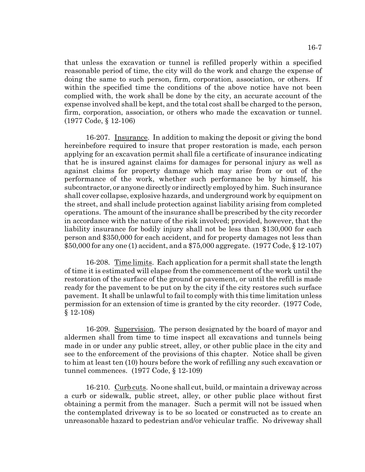that unless the excavation or tunnel is refilled properly within a specified reasonable period of time, the city will do the work and charge the expense of doing the same to such person, firm, corporation, association, or others. If within the specified time the conditions of the above notice have not been complied with, the work shall be done by the city, an accurate account of the expense involved shall be kept, and the total cost shall be charged to the person, firm, corporation, association, or others who made the excavation or tunnel. (1977 Code, § 12-106)

16-207. Insurance. In addition to making the deposit or giving the bond hereinbefore required to insure that proper restoration is made, each person applying for an excavation permit shall file a certificate of insurance indicating that he is insured against claims for damages for personal injury as well as against claims for property damage which may arise from or out of the performance of the work, whether such performance be by himself, his subcontractor, or anyone directly or indirectly employed by him. Such insurance shall cover collapse, explosive hazards, and underground work by equipment on the street, and shall include protection against liability arising from completed operations. The amount of the insurance shall be prescribed by the city recorder in accordance with the nature of the risk involved; provided, however, that the liability insurance for bodily injury shall not be less than \$130,000 for each person and \$350,000 for each accident, and for property damages not less than \$50,000 for any one (1) accident, and a \$75,000 aggregate. (1977 Code, § 12-107)

16-208. Time limits. Each application for a permit shall state the length of time it is estimated will elapse from the commencement of the work until the restoration of the surface of the ground or pavement, or until the refill is made ready for the pavement to be put on by the city if the city restores such surface pavement. It shall be unlawful to fail to comply with this time limitation unless permission for an extension of time is granted by the city recorder. (1977 Code, § 12-108)

16-209. Supervision. The person designated by the board of mayor and aldermen shall from time to time inspect all excavations and tunnels being made in or under any public street, alley, or other public place in the city and see to the enforcement of the provisions of this chapter. Notice shall be given to him at least ten (10) hours before the work of refilling any such excavation or tunnel commences. (1977 Code, § 12-109)

16-210. Curb cuts. No one shall cut, build, or maintain a driveway across a curb or sidewalk, public street, alley, or other public place without first obtaining a permit from the manager. Such a permit will not be issued when the contemplated driveway is to be so located or constructed as to create an unreasonable hazard to pedestrian and/or vehicular traffic. No driveway shall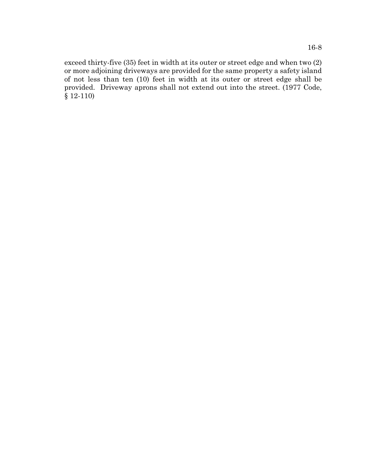exceed thirty-five (35) feet in width at its outer or street edge and when two (2) or more adjoining driveways are provided for the same property a safety island of not less than ten (10) feet in width at its outer or street edge shall be provided. Driveway aprons shall not extend out into the street. (1977 Code, § 12-110)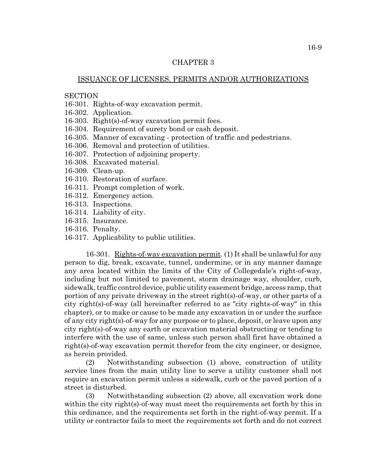## CHAPTER 3

#### ISSUANCE OF LICENSES, PERMITS AND/OR AUTHORIZATIONS

# **SECTION**

- 16-301. Rights-of-way excavation permit.
- 16-302. Application.
- 16-303. Right(s)-of-way excavation permit fees.
- 16-304. Requirement of surety bond or cash deposit.
- 16-305. Manner of excavating protection of traffic and pedestrians.
- 16-306. Removal and protection of utilities.
- 16-307. Protection of adjoining property.
- 16-308. Excavated material.
- 16-309. Clean-up.
- 16-310. Restoration of surface.
- 16-311. Prompt completion of work.
- 16-312. Emergency action.
- 16-313. Inspections.
- 16-314. Liability of city.
- 16-315. Insurance.
- 16-316. Penalty.
- 16-317. Applicability to public utilities.

16-301. Rights-of-way excavation permit. (1) It shall be unlawful for any person to dig, break, excavate, tunnel, undermine, or in any manner damage any area located within the limits of the City of Collegedale's right-of-way, including but not limited to pavement, storm drainage way, shoulder, curb, sidewalk, traffic control device, public utility easement bridge, access ramp, that portion of any private driveway in the street right(s)-of-way, or other parts of a city right(s)-of-way (all hereinafter referred to as "city rights-of-way" in this chapter), or to make or cause to be made any excavation in or under the surface of any city right(s)-of-way for any purpose or to place, deposit, or leave upon any city right(s)-of-way any earth or excavation material obstructing or tending to interfere with the use of same, unless such person shall first have obtained a right(s)-of-way excavation permit therefor from the city engineer, or designee, as herein provided.

(2) Notwithstanding subsection (1) above, construction of utility service lines from the main utility line to serve a utility customer shall not require an excavation permit unless a sidewalk, curb or the paved portion of a street is disturbed.

(3) Notwithstanding subsection (2) above, all excavation work done within the city right(s)-of-way must meet the requirements set forth by this in this ordinance, and the requirements set forth in the right-of-way permit. If a utility or contractor fails to meet the requirements set forth and do not correct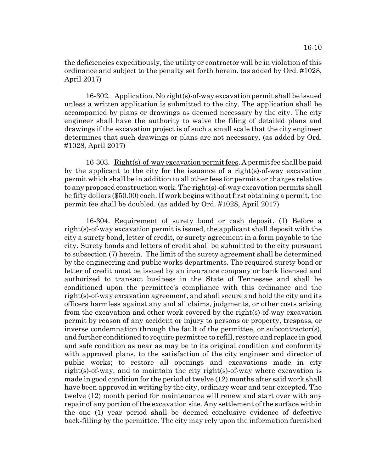the deficiencies expeditiously, the utility or contractor will be in violation of this ordinance and subject to the penalty set forth herein. (as added by Ord. #1028, April 2017)

16-302. Application. No right(s)-of-way excavation permit shall be issued unless a written application is submitted to the city. The application shall be accompanied by plans or drawings as deemed necessary by the city. The city engineer shall have the authority to waive the filing of detailed plans and drawings if the excavation project is of such a small scale that the city engineer determines that such drawings or plans are not necessary. (as added by Ord. #1028, April 2017)

16-303. Right(s)-of-way excavation permit fees. A permit fee shall be paid by the applicant to the city for the issuance of a right(s)-of-way excavation permit which shall be in addition to all other fees for permits or charges relative to any proposed construction work. The right(s)-of-way excavation permits shall be fifty dollars (\$50.00) each. If work begins without first obtaining a permit, the permit fee shall be doubled. (as added by Ord. #1028, April 2017)

16-304. Requirement of surety bond or cash deposit. (1) Before a right(s)-of-way excavation permit is issued, the applicant shall deposit with the city a surety bond, letter of credit, or surety agreement in a form payable to the city. Surety bonds and letters of credit shall be submitted to the city pursuant to subsection (7) herein. The limit of the surety agreement shall be determined by the engineering and public works departments. The required surety bond or letter of credit must be issued by an insurance company or bank licensed and authorized to transact business in the State of Tennessee and shall be conditioned upon the permittee's compliance with this ordinance and the right(s)-of-way excavation agreement, and shall secure and hold the city and its officers harmless against any and all claims, judgments, or other costs arising from the excavation and other work covered by the right(s)-of-way excavation permit by reason of any accident or injury to persons or property, trespass, or inverse condemnation through the fault of the permittee, or subcontractor(s), and further conditioned to require permittee to refill, restore and replace in good and safe condition as near as may be to its original condition and conformity with approved plans, to the satisfaction of the city engineer and director of public works; to restore all openings and excavations made in city right(s)-of-way, and to maintain the city right(s)-of-way where excavation is made in good condition for the period of twelve (12) months after said work shall have been approved in writing by the city, ordinary wear and tear excepted. The twelve (12) month period for maintenance will renew and start over with any repair of any portion of the excavation site. Any settlement of the surface within the one (1) year period shall be deemed conclusive evidence of defective back-filling by the permittee. The city may rely upon the information furnished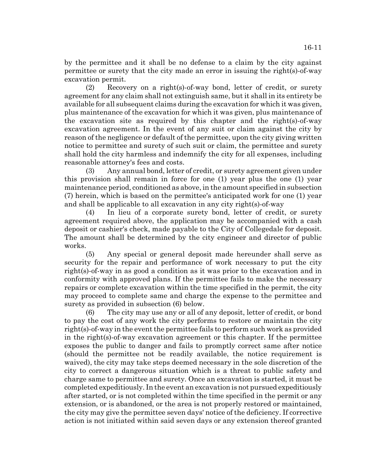by the permittee and it shall be no defense to a claim by the city against permittee or surety that the city made an error in issuing the right(s)-of-way excavation permit.

(2) Recovery on a right(s)-of-way bond, letter of credit, or surety agreement for any claim shall not extinguish same, but it shall in its entirety be available for all subsequent claims during the excavation for which it was given, plus maintenance of the excavation for which it was given, plus maintenance of the excavation site as required by this chapter and the right(s)-of-way excavation agreement. In the event of any suit or claim against the city by reason of the negligence or default of the permittee, upon the city giving written notice to permittee and surety of such suit or claim, the permittee and surety shall hold the city harmless and indemnify the city for all expenses, including reasonable attorney's fees and costs.

(3) Any annual bond, letter of credit, or surety agreement given under this provision shall remain in force for one (1) year plus the one (1) year maintenance period, conditioned as above, in the amount specified in subsection (7) herein, which is based on the permittee's anticipated work for one (1) year and shall be applicable to all excavation in any city right(s)-of-way

(4) In lieu of a corporate surety bond, letter of credit, or surety agreement required above, the application may be accompanied with a cash deposit or cashier's check, made payable to the City of Collegedale for deposit. The amount shall be determined by the city engineer and director of public works.

(5) Any special or general deposit made hereunder shall serve as security for the repair and performance of work necessary to put the city right(s)-of-way in as good a condition as it was prior to the excavation and in conformity with approved plans. If the permittee fails to make the necessary repairs or complete excavation within the time specified in the permit, the city may proceed to complete same and charge the expense to the permittee and surety as provided in subsection (6) below.

(6) The city may use any or all of any deposit, letter of credit, or bond to pay the cost of any work the city performs to restore or maintain the city right(s)-of-way in the event the permittee fails to perform such work as provided in the right(s)-of-way excavation agreement or this chapter. If the permittee exposes the public to danger and fails to promptly correct same after notice (should the permittee not be readily available, the notice requirement is waived), the city may take steps deemed necessary in the sole discretion of the city to correct a dangerous situation which is a threat to public safety and charge same to permittee and surety. Once an excavation is started, it must be completed expeditiously. In the event an excavation is not pursued expeditiously after started, or is not completed within the time specified in the permit or any extension, or is abandoned, or the area is not properly restored or maintained, the city may give the permittee seven days' notice of the deficiency. If corrective action is not initiated within said seven days or any extension thereof granted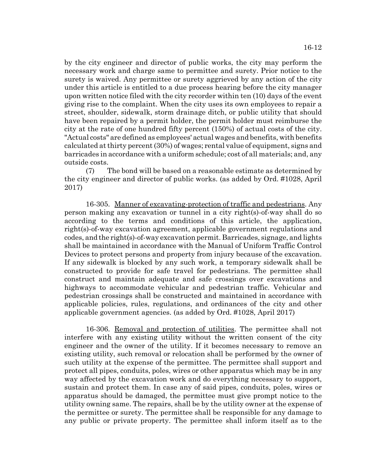by the city engineer and director of public works, the city may perform the necessary work and charge same to permittee and surety. Prior notice to the surety is waived. Any permittee or surety aggrieved by any action of the city under this article is entitled to a due process hearing before the city manager upon written notice filed with the city recorder within ten (10) days of the event giving rise to the complaint. When the city uses its own employees to repair a street, shoulder, sidewalk, storm drainage ditch, or public utility that should have been repaired by a permit holder, the permit holder must reimburse the city at the rate of one hundred fifty percent (150%) of actual costs of the city. "Actual costs" are defined as employees' actual wages and benefits, with benefits calculated at thirty percent (30%) of wages; rental value of equipment, signs and barricades in accordance with a uniform schedule; cost of all materials; and, any outside costs.

(7) The bond will be based on a reasonable estimate as determined by the city engineer and director of public works. (as added by Ord. #1028, April 2017)

16-305. Manner of excavating-protection of traffic and pedestrians. Any person making any excavation or tunnel in a city right(s)-of-way shall do so according to the terms and conditions of this article, the application, right(s)-of-way excavation agreement, applicable government regulations and codes, and the right(s)-of-way excavation permit. Barricades, signage, and lights shall be maintained in accordance with the Manual of Uniform Traffic Control Devices to protect persons and property from injury because of the excavation. If any sidewalk is blocked by any such work, a temporary sidewalk shall be constructed to provide for safe travel for pedestrians. The permittee shall construct and maintain adequate and safe crossings over excavations and highways to accommodate vehicular and pedestrian traffic. Vehicular and pedestrian crossings shall be constructed and maintained in accordance with applicable policies, rules, regulations, and ordinances of the city and other applicable government agencies. (as added by Ord. #1028, April 2017)

16-306. Removal and protection of utilities. The permittee shall not interfere with any existing utility without the written consent of the city engineer and the owner of the utility. If it becomes necessary to remove an existing utility, such removal or relocation shall be performed by the owner of such utility at the expense of the permittee. The permittee shall support and protect all pipes, conduits, poles, wires or other apparatus which may be in any way affected by the excavation work and do everything necessary to support, sustain and protect them. In case any of said pipes, conduits, poles, wires or apparatus should be damaged, the permittee must give prompt notice to the utility owning same. The repairs, shall be by the utility owner at the expense of the permittee or surety. The permittee shall be responsible for any damage to any public or private property. The permittee shall inform itself as to the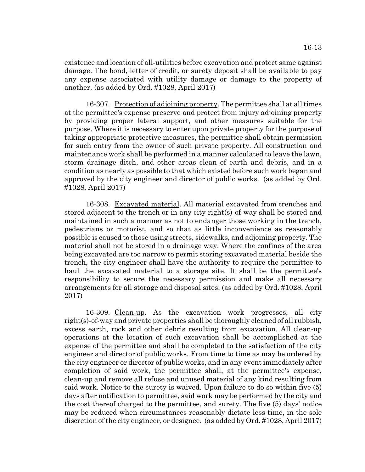existence and location of all-utilities before excavation and protect same against damage. The bond, letter of credit, or surety deposit shall be available to pay any expense associated with utility damage or damage to the property of another. (as added by Ord. #1028, April 2017)

16-307. Protection of adjoining property. The permittee shall at all times at the permittee's expense preserve and protect from injury adjoining property by providing proper lateral support, and other measures suitable for the purpose. Where it is necessary to enter upon private property for the purpose of taking appropriate protective measures, the permittee shall obtain permission for such entry from the owner of such private property. All construction and maintenance work shall be performed in a manner calculated to leave the lawn, storm drainage ditch, and other areas clean of earth and debris, and in a condition as nearly as possible to that which existed before such work began and approved by the city engineer and director of public works. (as added by Ord. #1028, April 2017)

16-308. Excavated material. All material excavated from trenches and stored adjacent to the trench or in any city right(s)-of-way shall be stored and maintained in such a manner as not to endanger those working in the trench, pedestrians or motorist, and so that as little inconvenience as reasonably possible is caused to those using streets, sidewalks, and adjoining property. The material shall not be stored in a drainage way. Where the confines of the area being excavated are too narrow to permit storing excavated material beside the trench, the city engineer shall have the authority to require the permittee to haul the excavated material to a storage site. It shall be the permittee's responsibility to secure the necessary permission and make all necessary arrangements for all storage and disposal sites. (as added by Ord. #1028, April 2017)

16-309. Clean-up. As the excavation work progresses, all city right(s)-of-way and private properties shall be thoroughly cleaned of all rubbish, excess earth, rock and other debris resulting from excavation. All clean-up operations at the location of such excavation shall be accomplished at the expense of the permittee and shall be completed to the satisfaction of the city engineer and director of public works. From time to time as may be ordered by the city engineer or director of public works, and in any event immediately after completion of said work, the permittee shall, at the permittee's expense, clean-up and remove all refuse and unused material of any kind resulting from said work. Notice to the surety is waived. Upon failure to do so within five (5) days after notification to permittee, said work may be performed by the city and the cost thereof charged to the permittee, and surety. The five (5) days' notice may be reduced when circumstances reasonably dictate less time, in the sole discretion of the city engineer, or designee. (as added by Ord. #1028, April 2017)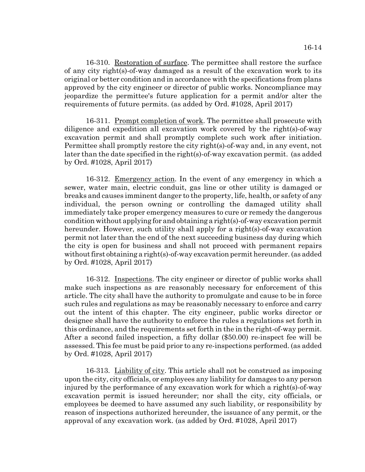16-310. Restoration of surface. The permittee shall restore the surface of any city right(s)-of-way damaged as a result of the excavation work to its original or better condition and in accordance with the specifications from plans approved by the city engineer or director of public works. Noncompliance may jeopardize the permittee's future application for a permit and/or alter the requirements of future permits. (as added by Ord. #1028, April 2017)

16-311. Prompt completion of work. The permittee shall prosecute with diligence and expedition all excavation work covered by the right(s)-of-way excavation permit and shall promptly complete such work after initiation. Permittee shall promptly restore the city right(s)-of-way and, in any event, not later than the date specified in the right(s)-of-way excavation permit. (as added by Ord. #1028, April 2017)

16-312. Emergency action. In the event of any emergency in which a sewer, water main, electric conduit, gas line or other utility is damaged or breaks and causes imminent danger to the property, life, health, or safety of any individual, the person owning or controlling the damaged utility shall immediately take proper emergency measures to cure or remedy the dangerous condition without applying for and obtaining a right(s)-of-way excavation permit hereunder. However, such utility shall apply for a right(s)-of-way excavation permit not later than the end of the next succeeding business day during which the city is open for business and shall not proceed with permanent repairs without first obtaining a right(s)-of-way excavation permit hereunder. (as added by Ord. #1028, April 2017)

16-312. Inspections. The city engineer or director of public works shall make such inspections as are reasonably necessary for enforcement of this article. The city shall have the authority to promulgate and cause to be in force such rules and regulations as may be reasonably necessary to enforce and carry out the intent of this chapter. The city engineer, public works director or designee shall have the authority to enforce the rules a regulations set forth in this ordinance, and the requirements set forth in the in the right-of-way permit. After a second failed inspection, a fifty dollar (\$50.00) re-inspect fee will be assessed. This fee must be paid prior to any re-inspections performed. (as added by Ord. #1028, April 2017)

16-313. Liability of city. This article shall not be construed as imposing upon the city, city officials, or employees any liability for damages to any person injured by the performance of any excavation work for which a right(s)-of-way excavation permit is issued hereunder; nor shall the city, city officials, or employees be deemed to have assumed any such liability, or responsibility by reason of inspections authorized hereunder, the issuance of any permit, or the approval of any excavation work. (as added by Ord. #1028, April 2017)